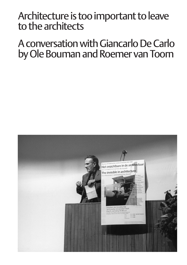# Architecture is too important to leave to the architects

A conversation with Giancarlo De Carlo by Ole Bouman and Roemer van Toorn

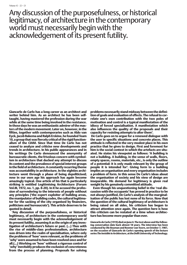Any discussion of the purposefulness, or historical legitimacy, of architecture in the contemporary world must necessarily begin with the acknowledgement of its present futility.

Giancarlo de Carlo has a long career as an architect and writer behind him. As an architect he has been selftaught, having mastered the profession during the war while at the same time being involved in the resistance. In those days he was an enthusiastic admirer of the masters of the modern movement. Later on, however, in the fifties, together with contemporaries such as Aldo van Eyck, Jacob Bakema and Ralph Erskine, he founded Team 10, a group that was fiercely critical of the rigid functionalism of the CIAM. Since that time De Carlo has not ceased to analyze and criticise new developments and trends in architecture. In his public appearances and in his writings De Carlo denounced the anonymity of bureaucratic clients, the frivolous concern with symbolism in architecture that ducked any attempt to discuss its content and the prevalence of special interest groups in the field of architecture. A constantly recurring theme was accountability in architecture. In the eighties architecture went through a phase of being depoliticised; now in our own age his approach has again become amazingly topical. One article of his that is particularly striking is entitled Legitimising Architecture (Forum Vol.III, 1972, no. 1, pp. 8-20). In it he accused the profession of surrendering to the interests of people without any principles ('the expert exploiter of building areas, the manipulator of building codes, the cultural legitimator for the sacking of the city organised by financiers, politicians and bureaucrats'). This article deserves to be quoted in detail.

'Any discussion of the purposefulness, or historical legitimacy, of architecture in the contemporary world must necessarily begin with the acknowledgement of its present futility, assuming it as the origin of any investigation of architecture's future or past. (...) Thus with the rise of middle-class professionalism, architecture was driven into the realm of specialisation, where only the problems of "how" were relevant, as the problems of "why" were assumed to have been resolved once and for all.(...) Working on "how" without a rigorous control of "why" inevitably produces the exclusion of concreteness from the process of planning. Proposals for solving

problems necessarily stand midway between the definition of goals and evaluation of effects. The refusal to correlate one's own contribution with the two poles of motivation and control is a typical manifestation of the idiocy of forced specialisation. A manifestation which also influences the quality of the proposals and their capacity for resisting attempts to alter them'.

De Carlo goes on to argue for a renewed dialogue with the user in specific situations and concrete places. This attitude is reflected in the very modest place in his own practice that he gives to design. First and foremost for him is the social context in which the artefacts are situated. He states his viewpoint as follows: 'A building is not a building. A building, in the sense of walls, floors, empty spaces, rooms, materials, etc., is only the outline of a potential: it is only made relevant by the group of people it is intended for'. Giving form to a building implies an organisation and every organisation includes a problem of form. In this sense De Carlo's ideas about the organisation of society and his view of design are inseparable. His demand for legitimacy is given real weight by his genuinely committed attitude.

Even though his unquestioning belief in the 'real discussion with the occupants' has proved in practice to be not always justified, De Carlo's analysis of the marginalisation of the public has lost none of its force. Now that the question of the cultural legitimacy of architecture is being raised on all sides, his criticism has begun to attract attention once again. The question here is how this criticism can be restated at a time when architecture has become more popular than ever.

Giancarlo de Carlo (1919) died on June 4. The text above and the following conversation date back almost 18 years. The interview has been conducted by Ole Bouman and Roemer van Toorn, on October 7, 1987, on the occasion of Giancarlo de Carlo's opening speech of the lecture series *The Invisible in Architecture*, at the Delft University of Technology.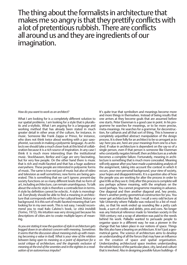The thing about the formalists in architecture that makes me so angry is that they prettify conflicts with a lot of pretentious rubbish. There are conflicts all around us and they are ingredients of our imagination.

### *How do you want to work as an architect?*

What I am looking for is a completely different solution to our spatial problems. I am looking for a style that is pluralistic and a-stylistic. What I am arguing for is a language and working method that has already been stated in much greater detail in other areas of the culture, for instance, in music. Someone like Frank Zappa or Prince, for instance, who does not think twice about working with a jazz saxophonist, succeeds in making a polysemic language. As architects we should take a much closer look at this kind of collaboration because it is a rich source of inspiration. In any case I think it is much more interesting than the institutional music. Stockhausen, Berlioz and Cage are very fascinating, but for very few people. On the other hand there is music that is rich and multi-faceted and that has a huge audience everywhere. These people are interested in polysemic forms of music. The same is true not just of music but also of video and television as well sometimes: new forms are being generated. This is something that we can't ignore; present-day society functions on so many different levels that no form of art, including architecture, can remain unambiguous. To talk about the eclectic style is therefore a contradiction in terms. A style by definition cannot be eclectic. A style is monological. Everybody should be able to find a meaning in architecture that corresponds with his or her cultural level, history or background. It is this sort of multi-faceted meaning that I am looking for in my own work. This is not easy. I would recommend you to read Italo Calvino's book, Le città invisibili (Torino, 1972). His intuition was very strong just because his descriptions of cities aim to create multiple layers of meaning.

*As you are stating it now the question of style in architecture gets bogged down in an abstract concern with meaning. Sometimes it seems that the discussion about meaning ends up with meaning becoming a value in itself. What is your view of the relation between being open to meaning as a point of departure for a social critique of architecture, and the dogmatic exclusion of meaning at the end of the seventies and in the eighties in a revaluation of an autonomous impulse?*

It's quite true that symbolism and meanings become more and more things in themselves. Instead of being results that one arrives at they become goals that are assumed before one starts. Peter Eisenman is a good case in point. In his programme he searches for meanings, or to be more precise, meta-meanings. He searches for a grammar, for deconstruction, for catharsis and all that sort of thing. This is however a completely unjustified abstract manipulation of the design process. It is sheer folly for an architect to be so arrogant as to say: here you are, here are your meanings from one to a hundred. If value in architecture is dependent on the say-so of a single person, even if that person is someone like Eisenman who constantly negates himself, then architecture as a whole becomes a complete failure. Fortunately, meaning in architecture is something that is much more concealed. Meaning will only appear after you have made a painstaking analysis of the assignment, taking into account the context in which it occurs, your own personal background, your view of society, your hopes and disappointments. It is a question also of how the people you are working for alter the process in order to give it life as they see it. Only after this process is complete will you perhaps achieve meaning, with the emphasis on the word perhaps. You cannot programme meaning in advance. One diagonal and then another diagonal and, hey presto, there's another pretty geometrical construction for you. You never get architecture like that. I recall a very odd lecture at Yale University where Palladio was reduced to a list of modules, so that his work ended up sounding like a petty cash book, a sum of credits and debits, pros and cons. No longer was any historical reference made to Venetian society in the 16th century; not a scrap of attention was paid to the needs behind his work. Palladio wanted to persuade people to organise space in a different way; he was a pioneer in the change that has taken place in our notions of space. Things like this also have a bearing on architecture. It isn't just a geometrical game. The science of architecture aims to develop an understanding of all the forces that may have an influence on the creation of space and spatial organisation. Understanding architectural space involves understanding the whole history of the particular place, city, land and culture that is involved. Also in designing possible future buildings - if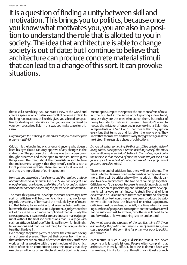It is a question of finding a unity between skill and motivation. This brings you to politics, because once you know what motivates you, you are also in a position to understand the role that is allotted to you in society. The idea that architecture is able to change society is out of date; but I continue to believe that architecture can produce concrete material stimuli that can lead to a change of this sort. It can provoke situations.

that is still a possibility - you can state a view of the world and create a space in which balance or conflict become explicit. In the long run an approach like this gives you a broad perspective for dealing with details so that you are not confined to your own specialised field. In this way you make space for criticism.

#### *Do you regard this as being so important that you conclude your argument with it?*

Criticism is the beginning of change and anyone who doesn't keep his eyes closed can only approve of any changes in the status quo. The purpose of art always was to sharpen one's thought processes and to be open to criticism, not to gloss things over. The thing about the formalists in architecture that makes me so angry is that they prettify conflicts with a lot of pretentious rubbish. There are conflicts all around us and they are ingredients of our imagination.

*How can one arrive at a critical stance and the resulting attitude of commitment in a pluriverse like ours? How can one feel sure enough of what one is doing and of the criteria for one's criticism while at the same time accepting the present cultural situation?*

The more this 'pluriverse' develops the more necessary a new sort of criticism will become. A criticism that no longer regards the variety of forms and the multiple layers of meaning that belong to an architectural event as being sufficient, but which also contains a value judgement, a judgement that will of course be much more complicated than is usually the case at present. It is a case of a preparedness to make a judgement without the finalistic pretensions that usually go with such an attitude. Manfredo Tafuri is well known for his finalistic aspirations and that is a bad thing for the living architecture that I believe in.

Even though they have plenty of power, the critics are having a hard time at present. They get their power from the fact that architects are so afraid of criticism that they stuff their work as full as possible with the pet notions of the critics. Critics often sit on competition juries; this means that they exercise an influence on architectural production that is by no

means open. Despite their power the critics are afraid of missing the bus. Not in the sense of not spotting a new trend, because they are the ones who launch them, but rather of being too late for history in general. They don't want to repeat the mistake of once again overlooking a Salon des Indépendents or a Van Gogh. That means that they get on every bus that turns up and it's often the wrong one. They know that themselves and that's why they get off again at the next stop. The result is a chaos of publications.

*Do you think that something like that can still be called criticism? Being critical presupposes a certain belief in yourself. The critics you mention apparently don't believe in themselves, in fact quite the reverse. Is that the end of criticism or can we just see it as a failure of certain individuals who, because of their professional position, are called critics?*

There is no end of criticism, but there will be a change. The way in which criticism is practised nowadays hardly works any more. There will be critics who will write criticism that is parallel to a new architecture. The two do of course go together. Criticism won't disappear because its mediating role as well as its function of proclaiming and identifying new developments will always remain intact. A study like that of John Ackermann on Palladio that situates architecture so clearly in its cultural context could never have been produced by writers who did not have the historical or critical equipment. Criticism must be endless, especially in a time when increasing numbers of people are coming into contact with art. It will not be sufficient just to explain; hypotheses will need to be put forward as to how something is to be understood.

*And what about the situation of the architect himself? If you acknowledge the political and cultural value of architecture, how can a specialist in this form find his or her way back to politics and culture?*

Architecture is such a vague discipline that it can never become a fully specialist one. People often complain that architecture is really difficult, because it doesn't have any parameters; it isn't a form of arithmetic, nor is it just a branch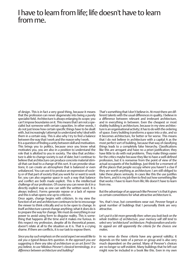## I have to learn from life; life doesn't have to learn from me.

of design. This is in fact a very good thing, because it means that the profession can never degenerate into being a purely specialist field. Architecture is always enlarging its scope; you can't impose boundaries on it. This means that I am not a specialist but someone with certain capacities. In other words, I do not just know how certain specific things have to be dealt with, but increasingly I attempt to understand why I deal with them in a certain way. This is also why I try to find a balance between the way that I work and the reason why I work.

It is a question of finding a unity between skill and motivation. This brings you to politics, because once you know what motivates you, you are also in a position to understand the role that is allotted to you in society. The idea that architecture is able to change society is out of date; but I continue to believe that architecture can produce concrete material stimuli that can lead to a change of this sort. It can provoke situations; it can create an atmosphere that is balanced or even unbalanced. You can use it to produce an expression of society or of that part of society that you work for or want to work for; you can also organise space in such a way that balance and conflict are both made explicit. This is the intellectual challenge of our profession. Of course you can never do it in a directly explicit way as one can with the written word. It is always indirect. Forms generate repose or a lack of repose and this is what opens one up to criticism.

Once again, change begins with criticism. In my view the function of art and architecture continues to be to encourage the viewer to think critically and so to be open to change. In itself architecture cannot change anything; what it does do is to prepare the way for change. We must do everything in our power to avoid using form to disguise reality. This is something that happens all the time and it makes me furious. In this respect my profession, despite all its theoretical power, doesn't relate at all to the situation as it is. That is a crying shame. If there are conflicts, it is our task to expose them.

*Since you lay such emphasis on the social aspect we would like to ask you a typical Beaux-Arts question. In the approach you are suggesting is there any idea of architecture as an art form? Do you believe, to use Nikolaus Pevsner's classical terminology, in a difference between architecture and building?*

That's something that I don't believe in. At most there are different talents with the usual differences in quality. I believe in a difference between relevant and irrelevant architecture, and in everything in between. Even the cheapest or most shabby building is architecture, because in my view architecture is an organisational activity; it has to do with the ordering of space. Every building transforms a space into a site, and so it becomes architecture, for better or for worse. This means that I do not believe in architecture with a capital A as the most perfect sort of building, because that way of classifying things leads to a completely false hierarchy. Classifications like this are arrogant and have no a priori justification; they have little to do with real problems. They make things easier for the critics maybe because they like to have a well-defined profession, but it is nonsense from the point of view of the actual occupants of the buildings. Just think for a moment of all the places that people occupy where you haven't a clue if they are worth anything as architecture; I am still obliged to take these places seriously. In cases like this the use justifies the form, and it is my job then to find out how something like that works: I have to learn from life; life doesn't have to learn from me.

But the advantage of an approach like Pevsner's is that it gives us certain conventions for what attractive architecture is.

Yes, that's true, but conventions wear out. Pevsner forgot a great number of buildings that I personally think are very attractive.

*Let's put it a bit more generally then: when you look back on the whole tradition of architecture, your memory will still tend to select very 'architectural' architecture. Professionalism and artistic appeal are still apparently the criteria for the choices one makes.*

In no sense do these criteria have any general validity; it depends on the taste of a person or group and is also very much dependent on the period. Many of Pevsner's choices are no longer so self-evident. Many buildings that he left out might now be included in a book like this. Even in my own